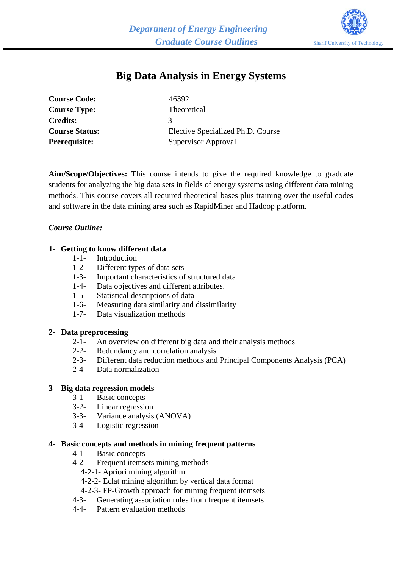

# **Big Data Analysis in Energy Systems**

| <b>Course Code:</b>   | 46392                             |
|-----------------------|-----------------------------------|
| <b>Course Type:</b>   | Theoretical                       |
| <b>Credits:</b>       |                                   |
| <b>Course Status:</b> | Elective Specialized Ph.D. Course |
| <b>Prerequisite:</b>  | Supervisor Approval               |

**Aim/Scope/Objectives:** This course intends to give the required knowledge to graduate students for analyzing the big data sets in fields of energy systems using different data mining methods. This course covers all required theoretical bases plus training over the useful codes and software in the data mining area such as RapidMiner and Hadoop platform.

### *Course Outline:*

### **1- Getting to know different data**

- 1-1- Introduction
- 1-2- Different types of data sets
- 1-3- Important characteristics of structured data
- 1-4- Data objectives and different attributes.
- 1-5- Statistical descriptions of data
- 1-6- Measuring data similarity and dissimilarity<br>1-7- Data visualization methods
- Data visualization methods

#### **2- Data preprocessing**

- 2-1- An overview on different big data and their analysis methods
- 2-2- Redundancy and correlation analysis
- 2-3- Different data reduction methods and Principal Components Analysis (PCA)
- 2-4- Data normalization

## **3- Big data regression models**

- 
- 3-1- Basic concepts<br>3-2- Linear regression Linear regression
- 3-3- Variance analysis (ANOVA)
- 3-4- Logistic regression

#### **4- Basic concepts and methods in mining frequent patterns**

- 4-1- Basic concepts
- 4-2- Frequent itemsets mining methods
	- 4-2-1- Apriori mining algorithm
	- 4-2-2- Eclat mining algorithm by vertical data format
	- 4-2-3- FP-Growth approach for mining frequent itemsets
- 4-3- Generating association rules from frequent itemsets
- 4-4- Pattern evaluation methods